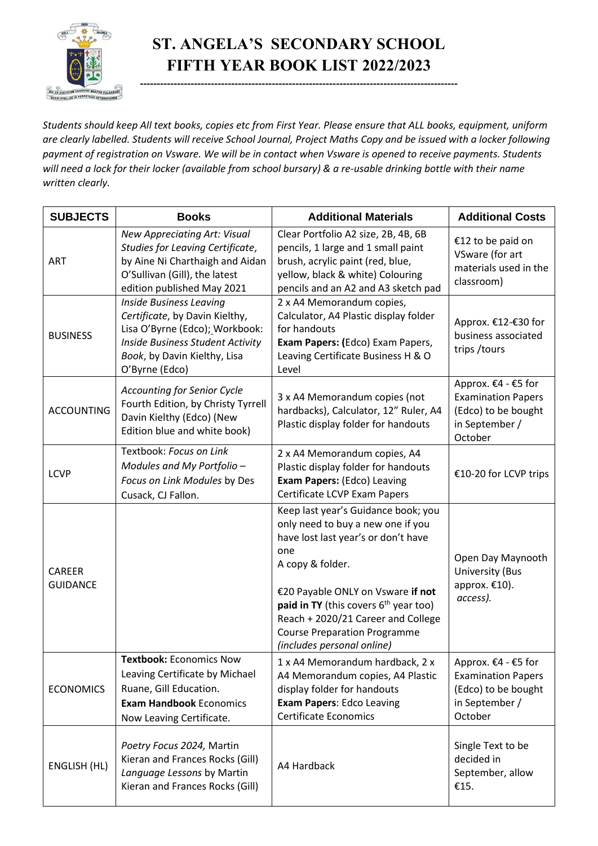

## **ST. ANGELA'S SECONDARY SCHOOL FIFTH YEAR BOOK LIST 2022/2023**

**----------------------------------------------------------------------------------------------**

*Students should keep All text books, copies etc from First Year. Please ensure that ALL books, equipment, uniform are clearly labelled. Students will receive School Journal, Project Maths Copy and be issued with a locker following payment of registration on Vsware. We will be in contact when Vsware is opened to receive payments. Students will need a lock for their locker (available from school bursary) & a re-usable drinking bottle with their name written clearly.*

| <b>SUBJECTS</b>                  | <b>Books</b>                                                                                                                                                                                    | <b>Additional Materials</b>                                                                                                                                                                                                                                                                                                                  | <b>Additional Costs</b>                                                                              |
|----------------------------------|-------------------------------------------------------------------------------------------------------------------------------------------------------------------------------------------------|----------------------------------------------------------------------------------------------------------------------------------------------------------------------------------------------------------------------------------------------------------------------------------------------------------------------------------------------|------------------------------------------------------------------------------------------------------|
| <b>ART</b>                       | New Appreciating Art: Visual<br>Studies for Leaving Certificate,<br>by Aine Ni Charthaigh and Aidan<br>O'Sullivan (Gill), the latest<br>edition published May 2021                              | Clear Portfolio A2 size, 2B, 4B, 6B<br>pencils, 1 large and 1 small paint<br>brush, acrylic paint (red, blue,<br>yellow, black & white) Colouring<br>pencils and an A2 and A3 sketch pad                                                                                                                                                     | €12 to be paid on<br>VSware (for art<br>materials used in the<br>classroom)                          |
| <b>BUSINESS</b>                  | <b>Inside Business Leaving</b><br>Certificate, by Davin Kielthy,<br>Lisa O'Byrne (Edco); Workbook:<br><b>Inside Business Student Activity</b><br>Book, by Davin Kielthy, Lisa<br>O'Byrne (Edco) | 2 x A4 Memorandum copies,<br>Calculator, A4 Plastic display folder<br>for handouts<br>Exam Papers: (Edco) Exam Papers,<br>Leaving Certificate Business H & O<br>Level                                                                                                                                                                        | Approx. €12-€30 for<br>business associated<br>trips / tours                                          |
| <b>ACCOUNTING</b>                | <b>Accounting for Senior Cycle</b><br>Fourth Edition, by Christy Tyrrell<br>Davin Kielthy (Edco) (New<br>Edition blue and white book)                                                           | 3 x A4 Memorandum copies (not<br>hardbacks), Calculator, 12" Ruler, A4<br>Plastic display folder for handouts                                                                                                                                                                                                                                | Approx. €4 - €5 for<br><b>Examination Papers</b><br>(Edco) to be bought<br>in September /<br>October |
| <b>LCVP</b>                      | Textbook: Focus on Link<br>Modules and My Portfolio -<br>Focus on Link Modules by Des<br>Cusack, CJ Fallon.                                                                                     | 2 x A4 Memorandum copies, A4<br>Plastic display folder for handouts<br>Exam Papers: (Edco) Leaving<br>Certificate LCVP Exam Papers                                                                                                                                                                                                           | €10-20 for LCVP trips                                                                                |
| <b>CAREER</b><br><b>GUIDANCE</b> |                                                                                                                                                                                                 | Keep last year's Guidance book; you<br>only need to buy a new one if you<br>have lost last year's or don't have<br>one<br>A copy & folder.<br>€20 Payable ONLY on Vsware if not<br><b>paid in TY</b> (this covers $6th$ year too)<br>Reach + 2020/21 Career and College<br><b>Course Preparation Programme</b><br>(includes personal online) | Open Day Maynooth<br><b>University (Bus</b><br>approx. €10).<br>access).                             |
| <b>ECONOMICS</b>                 | <b>Textbook: Economics Now</b><br>Leaving Certificate by Michael<br>Ruane, Gill Education.<br><b>Exam Handbook Economics</b><br>Now Leaving Certificate.                                        | 1 x A4 Memorandum hardback, 2 x<br>A4 Memorandum copies, A4 Plastic<br>display folder for handouts<br><b>Exam Papers: Edco Leaving</b><br><b>Certificate Economics</b>                                                                                                                                                                       | Approx. €4 - €5 for<br><b>Examination Papers</b><br>(Edco) to be bought<br>in September /<br>October |
| ENGLISH (HL)                     | Poetry Focus 2024, Martin<br>Kieran and Frances Rocks (Gill)<br>Language Lessons by Martin<br>Kieran and Frances Rocks (Gill)                                                                   | A4 Hardback                                                                                                                                                                                                                                                                                                                                  | Single Text to be<br>decided in<br>September, allow<br>€15.                                          |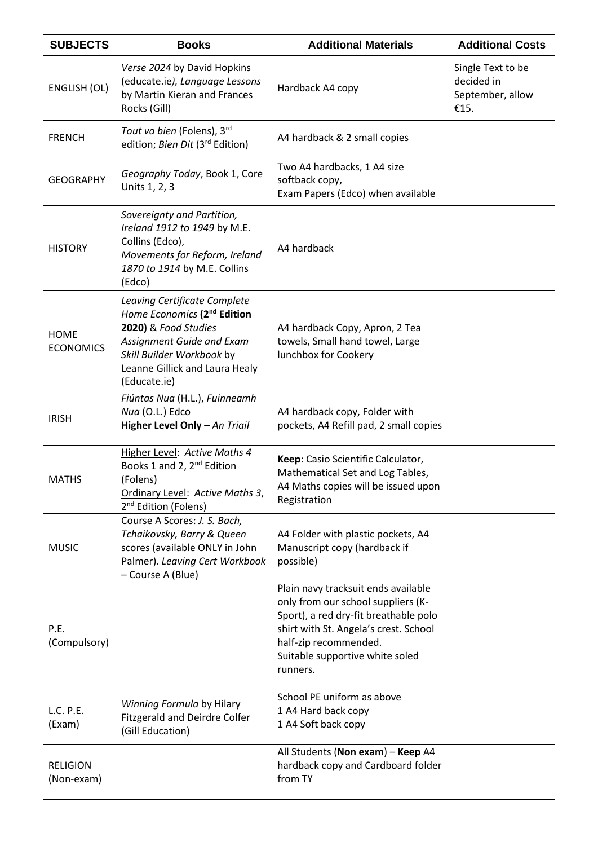| <b>SUBJECTS</b>                 | <b>Books</b>                                                                                                                                                                                                | <b>Additional Materials</b>                                                                                                                                                                                                         | <b>Additional Costs</b>                                     |
|---------------------------------|-------------------------------------------------------------------------------------------------------------------------------------------------------------------------------------------------------------|-------------------------------------------------------------------------------------------------------------------------------------------------------------------------------------------------------------------------------------|-------------------------------------------------------------|
| ENGLISH (OL)                    | Verse 2024 by David Hopkins<br>(educate.ie), Language Lessons<br>by Martin Kieran and Frances<br>Rocks (Gill)                                                                                               | Hardback A4 copy                                                                                                                                                                                                                    | Single Text to be<br>decided in<br>September, allow<br>€15. |
| <b>FRENCH</b>                   | Tout va bien (Folens), 3rd<br>edition; Bien Dit (3rd Edition)                                                                                                                                               | A4 hardback & 2 small copies                                                                                                                                                                                                        |                                                             |
| <b>GEOGRAPHY</b>                | Geography Today, Book 1, Core<br>Units 1, 2, 3                                                                                                                                                              | Two A4 hardbacks, 1 A4 size<br>softback copy,<br>Exam Papers (Edco) when available                                                                                                                                                  |                                                             |
| <b>HISTORY</b>                  | Sovereignty and Partition,<br>Ireland 1912 to 1949 by M.E.<br>Collins (Edco),<br>Movements for Reform, Ireland<br>1870 to 1914 by M.E. Collins<br>(Edco)                                                    | A4 hardback                                                                                                                                                                                                                         |                                                             |
| <b>HOME</b><br><b>ECONOMICS</b> | Leaving Certificate Complete<br>Home Economics (2 <sup>nd</sup> Edition<br>2020) & Food Studies<br>Assignment Guide and Exam<br>Skill Builder Workbook by<br>Leanne Gillick and Laura Healy<br>(Educate.ie) | A4 hardback Copy, Apron, 2 Tea<br>towels, Small hand towel, Large<br>lunchbox for Cookery                                                                                                                                           |                                                             |
| <b>IRISH</b>                    | Fiúntas Nua (H.L.), Fuinneamh<br>Nua (O.L.) Edco<br>Higher Level Only - An Triail                                                                                                                           | A4 hardback copy, Folder with<br>pockets, A4 Refill pad, 2 small copies                                                                                                                                                             |                                                             |
| <b>MATHS</b>                    | Higher Level: Active Maths 4<br>Books 1 and 2, 2 <sup>nd</sup> Edition<br>(Folens)<br>Ordinary Level: Active Maths 3,<br>2 <sup>nd</sup> Edition (Folens)                                                   | Keep: Casio Scientific Calculator,<br>Mathematical Set and Log Tables,<br>A4 Maths copies will be issued upon<br>Registration                                                                                                       |                                                             |
| <b>MUSIC</b>                    | Course A Scores: J. S. Bach,<br>Tchaikovsky, Barry & Queen<br>scores (available ONLY in John<br>Palmer). Leaving Cert Workbook<br>- Course A (Blue)                                                         | A4 Folder with plastic pockets, A4<br>Manuscript copy (hardback if<br>possible)                                                                                                                                                     |                                                             |
| P.E.<br>(Compulsory)            |                                                                                                                                                                                                             | Plain navy tracksuit ends available<br>only from our school suppliers (K-<br>Sport), a red dry-fit breathable polo<br>shirt with St. Angela's crest. School<br>half-zip recommended.<br>Suitable supportive white soled<br>runners. |                                                             |
| L.C. P.E.<br>(Exam)             | Winning Formula by Hilary<br><b>Fitzgerald and Deirdre Colfer</b><br>(Gill Education)                                                                                                                       | School PE uniform as above<br>1 A4 Hard back copy<br>1 A4 Soft back copy                                                                                                                                                            |                                                             |
| <b>RELIGION</b><br>(Non-exam)   |                                                                                                                                                                                                             | All Students (Non exam) - Keep A4<br>hardback copy and Cardboard folder<br>from TY                                                                                                                                                  |                                                             |